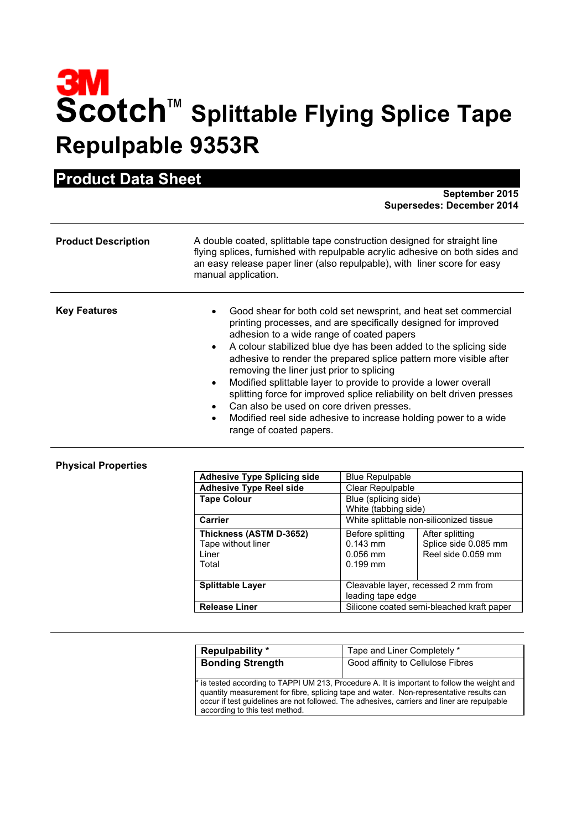## **3M**<br>Scotch<sup>™</sup> Splittable Flying Splice Tape **Repulpable 9353R**

## **Product Data Sheet**

**September 2015 Supersedes: December 2014**

| <b>Product Description</b> | A double coated, splittable tape construction designed for straight line<br>flying splices, furnished with repulpable acrylic adhesive on both sides and<br>an easy release paper liner (also repulpable), with liner score for easy<br>manual application.                                                                                                                                                                                                                                                                                                                                                                                                                                        |
|----------------------------|----------------------------------------------------------------------------------------------------------------------------------------------------------------------------------------------------------------------------------------------------------------------------------------------------------------------------------------------------------------------------------------------------------------------------------------------------------------------------------------------------------------------------------------------------------------------------------------------------------------------------------------------------------------------------------------------------|
| <b>Key Features</b>        | Good shear for both cold set newsprint, and heat set commercial<br>printing processes, and are specifically designed for improved<br>adhesion to a wide range of coated papers<br>A colour stabilized blue dye has been added to the splicing side<br>$\bullet$<br>adhesive to render the prepared splice pattern more visible after<br>removing the liner just prior to splicing<br>Modified splittable layer to provide to provide a lower overall<br>$\bullet$<br>splitting force for improved splice reliability on belt driven presses<br>Can also be used on core driven presses.<br>Modified reel side adhesive to increase holding power to a wide<br>$\bullet$<br>range of coated papers. |

## **Physical Properties**

| <b>Adhesive Type Splicing side</b>                              | <b>Blue Repulpable</b>                                     |                                                               |
|-----------------------------------------------------------------|------------------------------------------------------------|---------------------------------------------------------------|
| <b>Adhesive Type Reel side</b>                                  | Clear Repulpable                                           |                                                               |
| <b>Tape Colour</b>                                              | Blue (splicing side)<br>White (tabbing side)               |                                                               |
| Carrier                                                         | White splittable non-siliconized tissue                    |                                                               |
| Thickness (ASTM D-3652)<br>Tape without liner<br>Liner<br>Total | Before splitting<br>$0.143$ mm<br>$0.056$ mm<br>$0.199$ mm | After splitting<br>Splice side 0.085 mm<br>Reel side 0.059 mm |
| <b>Splittable Laver</b>                                         | Cleavable layer, recessed 2 mm from<br>leading tape edge   |                                                               |
| <b>Release Liner</b>                                            | Silicone coated semi-bleached kraft paper                  |                                                               |

| <b>Repulpability</b> *                                                                                                                                                                                                                                                                                                   | Tape and Liner Completely *       |  |
|--------------------------------------------------------------------------------------------------------------------------------------------------------------------------------------------------------------------------------------------------------------------------------------------------------------------------|-----------------------------------|--|
| <b>Bonding Strength</b>                                                                                                                                                                                                                                                                                                  | Good affinity to Cellulose Fibres |  |
| * is tested according to TAPPI UM 213, Procedure A. It is important to follow the weight and<br>quantity measurement for fibre, splicing tape and water. Non-representative results can<br>occur if test guidelines are not followed. The adhesives, carriers and liner are repulpable<br>according to this test method. |                                   |  |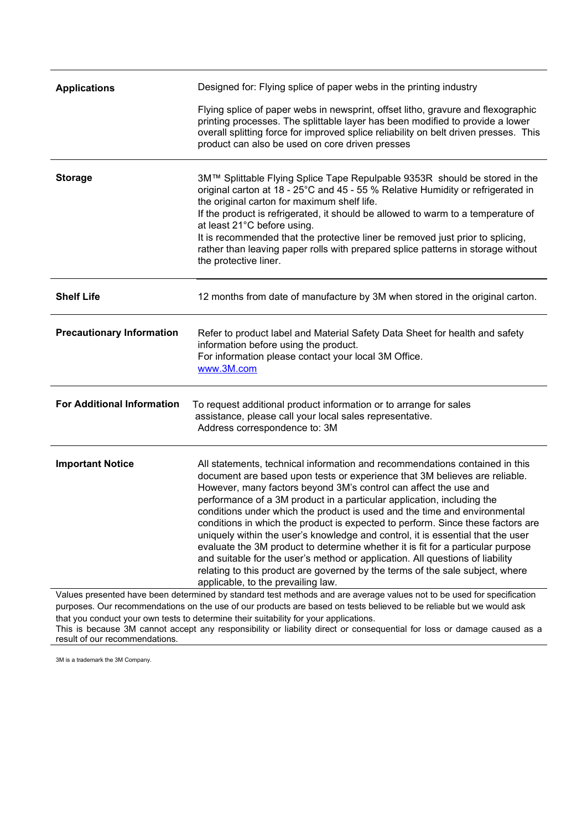| <b>Applications</b>                                                                                                                                                                                                                            | Designed for: Flying splice of paper webs in the printing industry                                                                                                                                                                                                                                                                                                                                                                                                                                                                                                                                                                                                                                                                                                                                                                                    |  |
|------------------------------------------------------------------------------------------------------------------------------------------------------------------------------------------------------------------------------------------------|-------------------------------------------------------------------------------------------------------------------------------------------------------------------------------------------------------------------------------------------------------------------------------------------------------------------------------------------------------------------------------------------------------------------------------------------------------------------------------------------------------------------------------------------------------------------------------------------------------------------------------------------------------------------------------------------------------------------------------------------------------------------------------------------------------------------------------------------------------|--|
|                                                                                                                                                                                                                                                | Flying splice of paper webs in newsprint, offset litho, gravure and flexographic<br>printing processes. The splittable layer has been modified to provide a lower<br>overall splitting force for improved splice reliability on belt driven presses. This<br>product can also be used on core driven presses                                                                                                                                                                                                                                                                                                                                                                                                                                                                                                                                          |  |
| <b>Storage</b>                                                                                                                                                                                                                                 | 3M™ Splittable Flying Splice Tape Repulpable 9353R should be stored in the<br>original carton at 18 - 25°C and 45 - 55 % Relative Humidity or refrigerated in<br>the original carton for maximum shelf life.<br>If the product is refrigerated, it should be allowed to warm to a temperature of<br>at least 21°C before using.<br>It is recommended that the protective liner be removed just prior to splicing,<br>rather than leaving paper rolls with prepared splice patterns in storage without<br>the protective liner.                                                                                                                                                                                                                                                                                                                        |  |
| <b>Shelf Life</b>                                                                                                                                                                                                                              | 12 months from date of manufacture by 3M when stored in the original carton.                                                                                                                                                                                                                                                                                                                                                                                                                                                                                                                                                                                                                                                                                                                                                                          |  |
| <b>Precautionary Information</b>                                                                                                                                                                                                               | Refer to product label and Material Safety Data Sheet for health and safety<br>information before using the product.<br>For information please contact your local 3M Office.<br>www.3M.com                                                                                                                                                                                                                                                                                                                                                                                                                                                                                                                                                                                                                                                            |  |
| <b>For Additional Information</b>                                                                                                                                                                                                              | To request additional product information or to arrange for sales<br>assistance, please call your local sales representative.<br>Address correspondence to: 3M                                                                                                                                                                                                                                                                                                                                                                                                                                                                                                                                                                                                                                                                                        |  |
| <b>Important Notice</b>                                                                                                                                                                                                                        | All statements, technical information and recommendations contained in this<br>document are based upon tests or experience that 3M believes are reliable.<br>However, many factors beyond 3M's control can affect the use and<br>performance of a 3M product in a particular application, including the<br>conditions under which the product is used and the time and environmental<br>conditions in which the product is expected to perform. Since these factors are<br>uniquely within the user's knowledge and control, it is essential that the user<br>evaluate the 3M product to determine whether it is fit for a particular purpose<br>and suitable for the user's method or application. All questions of liability<br>relating to this product are governed by the terms of the sale subject, where<br>applicable, to the prevailing law. |  |
| Values presented have been determined by standard test methods and are average values not to be used for specification<br>purposes. Our recommendations on the use of our products are based on tests believed to be reliable but we would ask |                                                                                                                                                                                                                                                                                                                                                                                                                                                                                                                                                                                                                                                                                                                                                                                                                                                       |  |
| that you conduct your own tests to determine their suitability for your applications.                                                                                                                                                          |                                                                                                                                                                                                                                                                                                                                                                                                                                                                                                                                                                                                                                                                                                                                                                                                                                                       |  |

This is because 3M cannot accept any responsibility or liability direct or consequential for loss or damage caused as a result of our recommendations.

3M is a trademark the 3M Company.